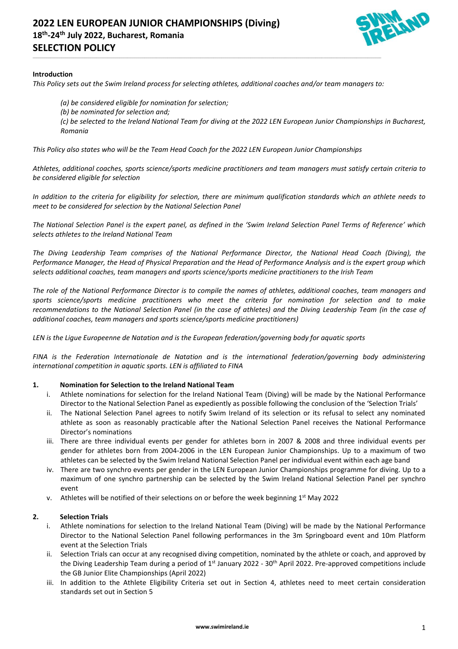

## **Introduction**

*This Policy sets out the Swim Ireland process for selecting athletes, additional coaches and/or team managers to:*

\_\_\_\_\_\_\_\_\_\_\_\_\_\_\_\_\_\_\_\_\_\_\_\_\_\_\_\_\_\_\_\_\_\_\_\_\_\_\_\_\_\_\_\_\_\_\_\_\_\_\_\_\_\_\_\_\_\_\_\_\_\_\_\_\_\_\_\_\_\_\_\_\_\_\_\_\_\_\_\_\_\_\_\_\_\_\_\_\_\_\_\_\_\_\_\_\_\_\_\_\_\_\_\_\_\_\_\_\_\_\_\_\_\_\_\_\_\_\_\_\_\_\_\_\_\_\_\_\_\_\_\_\_\_\_\_\_\_\_\_\_\_\_\_\_\_\_\_\_\_\_\_\_\_\_\_\_\_\_\_\_\_\_\_\_\_\_\_\_\_\_\_\_\_\_\_\_\_\_\_\_

*(a) be considered eligible for nomination for selection;*

*(b) be nominated for selection and;*

*(c) be selected to the Ireland National Team for diving at the 2022 LEN European Junior Championships in Bucharest, Romania*

*This Policy also states who will be the Team Head Coach for the 2022 LEN European Junior Championships*

*Athletes, additional coaches, sports science/sports medicine practitioners and team managers must satisfy certain criteria to be considered eligible for selection*

*In addition to the criteria for eligibility for selection, there are minimum qualification standards which an athlete needs to meet to be considered for selection by the National Selection Panel*

*The National Selection Panel is the expert panel, as defined in the 'Swim Ireland Selection Panel Terms of Reference' which selects athletes to the Ireland National Team*

*The Diving Leadership Team comprises of the National Performance Director, the National Head Coach (Diving), the Performance Manager, the Head of Physical Preparation and the Head of Performance Analysis and is the expert group which selects additional coaches, team managers and sports science/sports medicine practitioners to the Irish Team*

*The role of the National Performance Director is to compile the names of athletes, additional coaches, team managers and sports science/sports medicine practitioners who meet the criteria for nomination for selection and to make recommendations to the National Selection Panel (in the case of athletes) and the Diving Leadership Team (in the case of additional coaches, team managers and sports science/sports medicine practitioners)*

*LEN is the Ligue Europeenne de Natation and is the European federation/governing body for aquatic sports*

*FINA is the Federation Internationale de Natation and is the international federation/governing body administering international competition in aquatic sports. LEN is affiliated to FINA*

## **1. Nomination for Selection to the Ireland National Team**

- i. Athlete nominations for selection for the Ireland National Team (Diving) will be made by the National Performance Director to the National Selection Panel as expediently as possible following the conclusion of the 'Selection Trials'
- The National Selection Panel agrees to notify Swim Ireland of its selection or its refusal to select any nominated athlete as soon as reasonably practicable after the National Selection Panel receives the National Performance Director's nominations
- iii. There are three individual events per gender for athletes born in 2007 & 2008 and three individual events per gender for athletes born from 2004-2006 in the LEN European Junior Championships. Up to a maximum of two athletes can be selected by the Swim Ireland National Selection Panel per individual event within each age band
- iv. There are two synchro events per gender in the LEN European Junior Championships programme for diving. Up to a maximum of one synchro partnership can be selected by the Swim Ireland National Selection Panel per synchro event
- v. Athletes will be notified of their selections on or before the week beginning  $1<sup>st</sup>$  May 2022

#### **2. Selection Trials**

- i. Athlete nominations for selection to the Ireland National Team (Diving) will be made by the National Performance Director to the National Selection Panel following performances in the 3m Springboard event and 10m Platform event at the Selection Trials
- ii. Selection Trials can occur at any recognised diving competition, nominated by the athlete or coach, and approved by the Diving Leadership Team during a period of 1<sup>st</sup> January 2022 - 30<sup>th</sup> April 2022. Pre-approved competitions include the GB Junior Elite Championships (April 2022)
- iii. In addition to the Athlete Eligibility Criteria set out in Section 4, athletes need to meet certain consideration standards set out in Section 5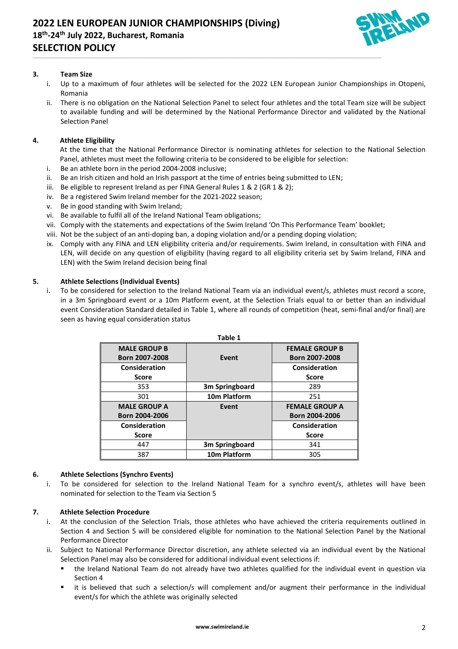

# **3. Team Size**

- i. Up to a maximum of four athletes will be selected for the 2022 LEN European Junior Championships in Otopeni, Romania
- ii. There is no obligation on the National Selection Panel to select four athletes and the total Team size will be subject to available funding and will be determined by the National Performance Director and validated by the National Selection Panel

# **4. Athlete Eligibility**

At the time that the National Performance Director is nominating athletes for selection to the National Selection Panel, athletes must meet the following criteria to be considered to be eligible for selection:

- i. Be an athlete born in the period 2004-2008 inclusive;
- ii. Be an Irish citizen and hold an Irish passport at the time of entries being submitted to LEN;

\_\_\_\_\_\_\_\_\_\_\_\_\_\_\_\_\_\_\_\_\_\_\_\_\_\_\_\_\_\_\_\_\_\_\_\_\_\_\_\_\_\_\_\_\_\_\_\_\_\_\_\_\_\_\_\_\_\_\_\_\_\_\_\_\_\_\_\_\_\_\_\_\_\_\_\_\_\_\_\_\_\_\_\_\_\_\_\_\_\_\_\_\_\_\_\_\_\_\_\_\_\_\_\_\_\_\_\_\_\_\_\_\_\_\_\_\_\_\_\_\_\_\_\_\_\_\_\_\_\_\_\_\_\_\_\_\_\_\_\_\_\_\_\_\_\_\_\_\_\_\_\_\_\_\_\_\_\_\_\_\_\_\_\_\_\_\_\_\_\_\_\_\_\_\_\_\_\_\_\_\_

- iii. Be eligible to represent Ireland as per FINA General Rules  $1 \& 2$  (GR  $1 \& 2$ );
- iv. Be a registered Swim Ireland member for the 2021-2022 season;
- v. Be in good standing with Swim Ireland;
- vi. Be available to fulfil all of the Ireland National Team obligations;
- vii. Comply with the statements and expectations of the Swim Ireland 'On This Performance Team' booklet;
- viii. Not be the subject of an anti-doping ban, a doping violation and/or a pending doping violation;
- ix. Comply with any FINA and LEN eligibility criteria and/or requirements. Swim Ireland, in consultation with FINA and LEN, will decide on any question of eligibility (having regard to all eligibility criteria set by Swim Ireland, FINA and LEN) with the Swim Ireland decision being final

# **5. Athlete Selections (Individual Events)**

i. To be considered for selection to the Ireland National Team via an individual event/s, athletes must record a score, in a 3m Springboard event or a 10m Platform event, at the Selection Trials equal to or better than an individual event Consideration Standard detailed in Table 1, where all rounds of competition (heat, semi-final and/or final) are seen as having equal consideration status

| Table 1             |                |                       |
|---------------------|----------------|-----------------------|
| <b>MALE GROUP B</b> |                | <b>FEMALE GROUP B</b> |
| Born 2007-2008      | Event          | Born 2007-2008        |
| Consideration       |                | Consideration         |
| <b>Score</b>        |                | <b>Score</b>          |
| 353                 | 3m Springboard | 289                   |
| 301                 | 10m Platform   | 251                   |
| <b>MALE GROUP A</b> | Event          | <b>FEMALE GROUP A</b> |
| Born 2004-2006      |                | Born 2004-2006        |
| Consideration       |                | Consideration         |
| Score               |                | <b>Score</b>          |
| 447                 | 3m Springboard | 341                   |
| 387                 | 10m Platform   | 305                   |

## **6. Athlete Selections (Synchro Events)**

i. To be considered for selection to the Ireland National Team for a synchro event/s, athletes will have been nominated for selection to the Team via Section 5

# **7. Athlete Selection Procedure**

- i. At the conclusion of the Selection Trials, those athletes who have achieved the criteria requirements outlined in Section 4 and Section 5 will be considered eligible for nomination to the National Selection Panel by the National Performance Director
- ii. Subject to National Performance Director discretion, any athlete selected via an individual event by the National Selection Panel may also be considered for additional individual event selections if:
	- the Ireland National Team do not already have two athletes qualified for the individual event in question via Section 4
	- it is believed that such a selection/s will complement and/or augment their performance in the individual event/s for which the athlete was originally selected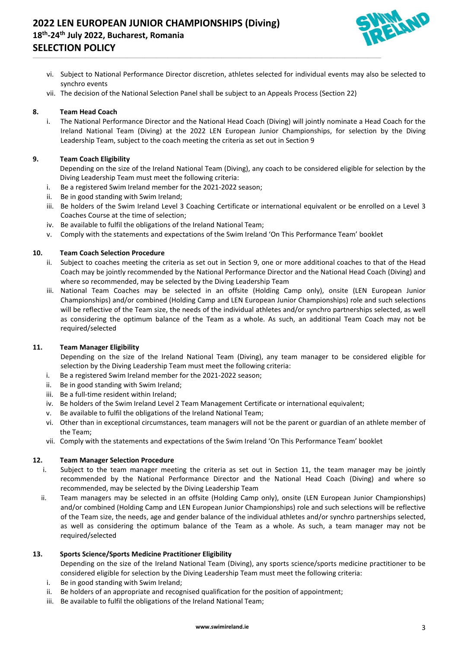# **2022 LEN EUROPEAN JUNIOR CHAMPIONSHIPS (Diving) 18th -24th July 2022, Bucharest, Romania SELECTION POLICY**



- vi. Subject to National Performance Director discretion, athletes selected for individual events may also be selected to synchro events
- vii. The decision of the National Selection Panel shall be subject to an Appeals Process (Section 22)

\_\_\_\_\_\_\_\_\_\_\_\_\_\_\_\_\_\_\_\_\_\_\_\_\_\_\_\_\_\_\_\_\_\_\_\_\_\_\_\_\_\_\_\_\_\_\_\_\_\_\_\_\_\_\_\_\_\_\_\_\_\_\_\_\_\_\_\_\_\_\_\_\_\_\_\_\_\_\_\_\_\_\_\_\_\_\_\_\_\_\_\_\_\_\_\_\_\_\_\_\_\_\_\_\_\_\_\_\_\_\_\_\_\_\_\_\_\_\_\_\_\_\_\_\_\_\_\_\_\_\_\_\_\_\_\_\_\_\_\_\_\_\_\_\_\_\_\_\_\_\_\_\_\_\_\_\_\_\_\_\_\_\_\_\_\_\_\_\_\_\_\_\_\_\_\_\_\_\_\_\_

## **8. Team Head Coach**

i. The National Performance Director and the National Head Coach (Diving) will jointly nominate a Head Coach for the Ireland National Team (Diving) at the 2022 LEN European Junior Championships, for selection by the Diving Leadership Team, subject to the coach meeting the criteria as set out in Section 9

## **9. Team Coach Eligibility**

Depending on the size of the Ireland National Team (Diving), any coach to be considered eligible for selection by the Diving Leadership Team must meet the following criteria:

- i. Be a registered Swim Ireland member for the 2021-2022 season;
- ii. Be in good standing with Swim Ireland;
- iii. Be holders of the Swim Ireland Level 3 Coaching Certificate or international equivalent or be enrolled on a Level 3 Coaches Course at the time of selection;
- iv. Be available to fulfil the obligations of the Ireland National Team;
- v. Comply with the statements and expectations of the Swim Ireland 'On This Performance Team' booklet

#### **10. Team Coach Selection Procedure**

- ii. Subject to coaches meeting the criteria as set out in Section 9, one or more additional coaches to that of the Head Coach may be jointly recommended by the National Performance Director and the National Head Coach (Diving) and where so recommended, may be selected by the Diving Leadership Team
- iii. National Team Coaches may be selected in an offsite (Holding Camp only), onsite (LEN European Junior Championships) and/or combined (Holding Camp and LEN European Junior Championships) role and such selections will be reflective of the Team size, the needs of the individual athletes and/or synchro partnerships selected, as well as considering the optimum balance of the Team as a whole. As such, an additional Team Coach may not be required/selected

#### **11. Team Manager Eligibility**

Depending on the size of the Ireland National Team (Diving), any team manager to be considered eligible for selection by the Diving Leadership Team must meet the following criteria:

- i. Be a registered Swim Ireland member for the 2021-2022 season;
- ii. Be in good standing with Swim Ireland;
- iii. Be a full-time resident within Ireland;
- iv. Be holders of the Swim Ireland Level 2 Team Management Certificate or international equivalent;
- v. Be available to fulfil the obligations of the Ireland National Team;
- vi. Other than in exceptional circumstances, team managers will not be the parent or guardian of an athlete member of the Team;
- vii. Comply with the statements and expectations of the Swim Ireland 'On This Performance Team' booklet

#### **12. Team Manager Selection Procedure**

- i. Subject to the team manager meeting the criteria as set out in Section 11, the team manager may be jointly recommended by the National Performance Director and the National Head Coach (Diving) and where so recommended, may be selected by the Diving Leadership Team
- ii. Team managers may be selected in an offsite (Holding Camp only), onsite (LEN European Junior Championships) and/or combined (Holding Camp and LEN European Junior Championships) role and such selections will be reflective of the Team size, the needs, age and gender balance of the individual athletes and/or synchro partnerships selected, as well as considering the optimum balance of the Team as a whole. As such, a team manager may not be required/selected

### **13. Sports Science/Sports Medicine Practitioner Eligibility**

Depending on the size of the Ireland National Team (Diving), any sports science/sports medicine practitioner to be considered eligible for selection by the Diving Leadership Team must meet the following criteria:

- i. Be in good standing with Swim Ireland;
- ii. Be holders of an appropriate and recognised qualification for the position of appointment;
- iii. Be available to fulfil the obligations of the Ireland National Team;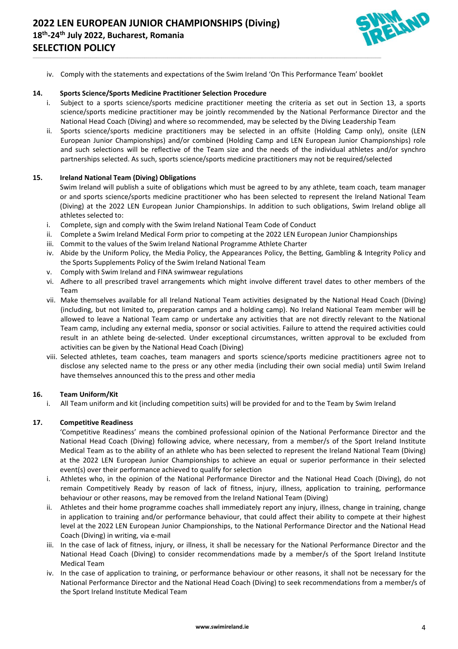

iv. Comply with the statements and expectations of the Swim Ireland 'On This Performance Team' booklet

\_\_\_\_\_\_\_\_\_\_\_\_\_\_\_\_\_\_\_\_\_\_\_\_\_\_\_\_\_\_\_\_\_\_\_\_\_\_\_\_\_\_\_\_\_\_\_\_\_\_\_\_\_\_\_\_\_\_\_\_\_\_\_\_\_\_\_\_\_\_\_\_\_\_\_\_\_\_\_\_\_\_\_\_\_\_\_\_\_\_\_\_\_\_\_\_\_\_\_\_\_\_\_\_\_\_\_\_\_\_\_\_\_\_\_\_\_\_\_\_\_\_\_\_\_\_\_\_\_\_\_\_\_\_\_\_\_\_\_\_\_\_\_\_\_\_\_\_\_\_\_\_\_\_\_\_\_\_\_\_\_\_\_\_\_\_\_\_\_\_\_\_\_\_\_\_\_\_\_\_\_

#### **14. Sports Science/Sports Medicine Practitioner Selection Procedure**

- i. Subject to a sports science/sports medicine practitioner meeting the criteria as set out in Section 13, a sports science/sports medicine practitioner may be jointly recommended by the National Performance Director and the National Head Coach (Diving) and where so recommended, may be selected by the Diving Leadership Team
- ii. Sports science/sports medicine practitioners may be selected in an offsite (Holding Camp only), onsite (LEN European Junior Championships) and/or combined (Holding Camp and LEN European Junior Championships) role and such selections will be reflective of the Team size and the needs of the individual athletes and/or synchro partnerships selected. As such, sports science/sports medicine practitioners may not be required/selected

#### **15. Ireland National Team (Diving) Obligations**

Swim Ireland will publish a suite of obligations which must be agreed to by any athlete, team coach, team manager or and sports science/sports medicine practitioner who has been selected to represent the Ireland National Team (Diving) at the 2022 LEN European Junior Championships. In addition to such obligations, Swim Ireland oblige all athletes selected to:

- i. Complete, sign and comply with the Swim Ireland National Team Code of Conduct
- ii. Complete a Swim Ireland Medical Form prior to competing at the 2022 LEN European Junior Championships
- iii. Commit to the values of the Swim Ireland National Programme Athlete Charter
- iv. Abide by the Uniform Policy, the Media Policy, the Appearances Policy, the Betting, Gambling & Integrity Policy and the Sports Supplements Policy of the Swim Ireland National Team
- v. Comply with Swim Ireland and FINA swimwear regulations
- vi. Adhere to all prescribed travel arrangements which might involve different travel dates to other members of the Team
- vii. Make themselves available for all Ireland National Team activities designated by the National Head Coach (Diving) (including, but not limited to, preparation camps and a holding camp). No Ireland National Team member will be allowed to leave a National Team camp or undertake any activities that are not directly relevant to the National Team camp, including any external media, sponsor or social activities. Failure to attend the required activities could result in an athlete being de-selected. Under exceptional circumstances, written approval to be excluded from activities can be given by the National Head Coach (Diving)
- viii. Selected athletes, team coaches, team managers and sports science/sports medicine practitioners agree not to disclose any selected name to the press or any other media (including their own social media) until Swim Ireland have themselves announced this to the press and other media

#### **16. Team Uniform/Kit**

i. All Team uniform and kit (including competition suits) will be provided for and to the Team by Swim Ireland

## **17. Competitive Readiness**

'Competitive Readiness' means the combined professional opinion of the National Performance Director and the National Head Coach (Diving) following advice, where necessary, from a member/s of the Sport Ireland Institute Medical Team as to the ability of an athlete who has been selected to represent the Ireland National Team (Diving) at the 2022 LEN European Junior Championships to achieve an equal or superior performance in their selected event(s) over their performance achieved to qualify for selection

- i. Athletes who, in the opinion of the National Performance Director and the National Head Coach (Diving), do not remain Competitively Ready by reason of lack of fitness, injury, illness, application to training, performance behaviour or other reasons, may be removed from the Ireland National Team (Diving)
- ii. Athletes and their home programme coaches shall immediately report any injury, illness, change in training, change in application to training and/or performance behaviour, that could affect their ability to compete at their highest level at the 2022 LEN European Junior Championships, to the National Performance Director and the National Head Coach (Diving) in writing, via e-mail
- iii. In the case of lack of fitness, injury, or illness, it shall be necessary for the National Performance Director and the National Head Coach (Diving) to consider recommendations made by a member/s of the Sport Ireland Institute Medical Team
- iv. In the case of application to training, or performance behaviour or other reasons, it shall not be necessary for the National Performance Director and the National Head Coach (Diving) to seek recommendations from a member/s of the Sport Ireland Institute Medical Team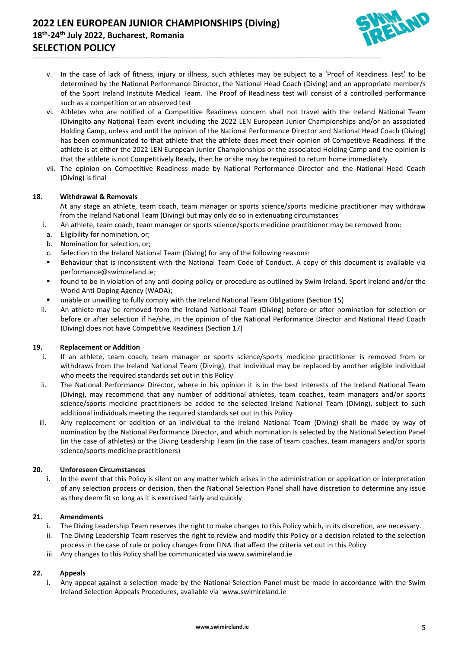# **2022 LEN EUROPEAN JUNIOR CHAMPIONSHIPS (Diving) 18th -24th July 2022, Bucharest, Romania SELECTION POLICY**



v. In the case of lack of fitness, injury or illness, such athletes may be subject to a 'Proof of Readiness Test' to be determined by the National Performance Director, the National Head Coach (Diving) and an appropriate member/s of the Sport Ireland Institute Medical Team. The Proof of Readiness test will consist of a controlled performance such as a competition or an observed test

\_\_\_\_\_\_\_\_\_\_\_\_\_\_\_\_\_\_\_\_\_\_\_\_\_\_\_\_\_\_\_\_\_\_\_\_\_\_\_\_\_\_\_\_\_\_\_\_\_\_\_\_\_\_\_\_\_\_\_\_\_\_\_\_\_\_\_\_\_\_\_\_\_\_\_\_\_\_\_\_\_\_\_\_\_\_\_\_\_\_\_\_\_\_\_\_\_\_\_\_\_\_\_\_\_\_\_\_\_\_\_\_\_\_\_\_\_\_\_\_\_\_\_\_\_\_\_\_\_\_\_\_\_\_\_\_\_\_\_\_\_\_\_\_\_\_\_\_\_\_\_\_\_\_\_\_\_\_\_\_\_\_\_\_\_\_\_\_\_\_\_\_\_\_\_\_\_\_\_\_\_

- vi. Athletes who are notified of a Competitive Readiness concern shall not travel with the Ireland National Team (Diving)to any National Team event including the 2022 LEN European Junior Championships and/or an associated Holding Camp, unless and until the opinion of the National Performance Director and National Head Coach (Diving) has been communicated to that athlete that the athlete does meet their opinion of Competitive Readiness. If the athlete is at either the 2022 LEN European Junior Championships or the associated Holding Camp and the opinion is that the athlete is not Competitively Ready, then he or she may be required to return home immediately
- vii. The opinion on Competitive Readiness made by National Performance Director and the National Head Coach (Diving) is final

## **18. Withdrawal & Removals**

At any stage an athlete, team coach, team manager or sports science/sports medicine practitioner may withdraw from the Ireland National Team (Diving) but may only do so in extenuating circumstances

- i. An athlete, team coach, team manager or sports science/sports medicine practitioner may be removed from:
- a. Eligibility for nomination, or;
- b. Nomination for selection, or;
- c. Selection to the Ireland National Team (Diving) for any of the following reasons:
- Behaviour that is inconsistent with the National Team Code of Conduct. A copy of this document is available via [performance@swimireland.ie;](mailto:performance@swimireland.ie)
- found to be in violation of any anti-doping policy or procedure as outlined by Swim Ireland, Sport Ireland and/or the World Anti-Doping Agency (WADA);
- unable or unwilling to fully comply with the Ireland National Team Obligations (Section 15)
- ii. An athlete may be removed from the Ireland National Team (Diving) before or after nomination for selection or before or after selection if he/she, in the opinion of the National Performance Director and National Head Coach (Diving) does not have Competitive Readiness (Section 17)

## **19. Replacement or Addition**

- i. If an athlete, team coach, team manager or sports science/sports medicine practitioner is removed from or withdraws from the Ireland National Team (Diving), that individual may be replaced by another eligible individual who meets the required standards set out in this Policy
- ii. The National Performance Director, where in his opinion it is in the best interests of the Ireland National Team (Diving), may recommend that any number of additional athletes, team coaches, team managers and/or sports science/sports medicine practitioners be added to the selected Ireland National Team (Diving), subject to such additional individuals meeting the required standards set out in this Policy
- iii. Any replacement or addition of an individual to the Ireland National Team (Diving) shall be made by way of nomination by the National Performance Director, and which nomination is selected by the National Selection Panel (in the case of athletes) or the Diving Leadership Team (in the case of team coaches, team managers and/or sports science/sports medicine practitioners)

# **20. Unforeseen Circumstances**

i. In the event that this Policy is silent on any matter which arises in the administration or application or interpretation of any selection process or decision, then the National Selection Panel shall have discretion to determine any issue as they deem fit so long as it is exercised fairly and quickly

## **21. Amendments**

- i. The Diving Leadership Team reserves the right to make changes to this Policy which, in its discretion, are necessary.
- ii. The Diving Leadership Team reserves the right to review and modify this Policy or a decision related to the selection process in the case of rule or policy changes from FINA that affect the criteria set out in this Policy
- iii. Any changes to this Policy shall be communicated via [www.swimireland.ie](http://www.swimireland.ie/)

## **22. Appeals**

i. Any appeal against a selection made by the National Selection Panel must be made in accordance with the Swim Ireland Selection Appeals Procedures, available via [www.swimireland.ie](http://www.swimireland.ie/)